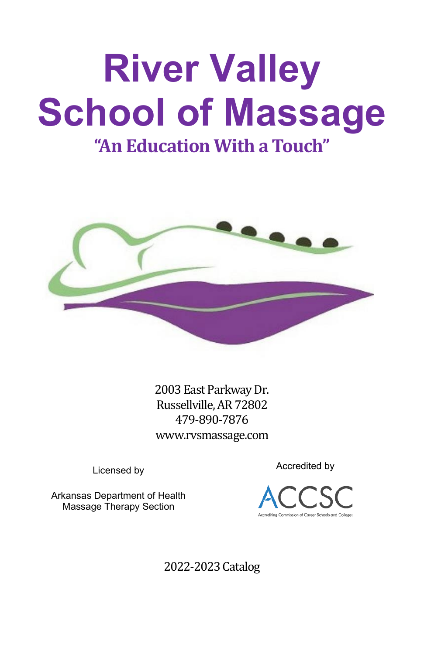# **River Valley School of Massage "An Education With a Touch"**



2003 East Parkway Dr. Russellville, AR 72802 479-890-7876 [www.rvsmassage.com](http://www.rvsmassage.com/)

Licensed by

Arkansas Department of Health Massage Therapy Section

Accredited by



2022-2023Catalog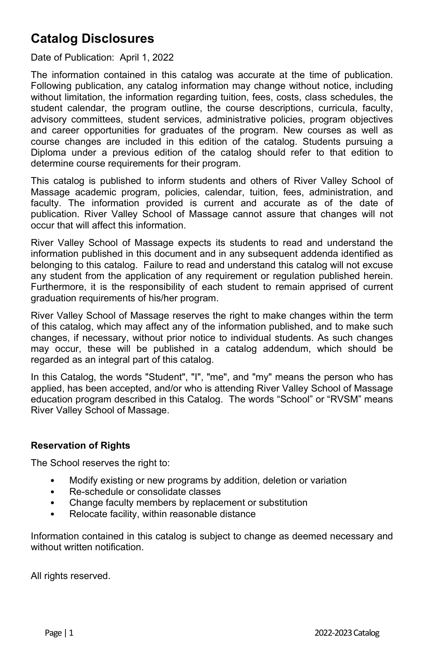### <span id="page-1-0"></span>**Catalog Disclosures**

Date of Publication: April 1, 2022

The information contained in this catalog was accurate at the time of publication. Following publication, any catalog information may change without notice, including without limitation, the information regarding tuition, fees, costs, class schedules, the student calendar, the program outline, the course descriptions, curricula, faculty, advisory committees, student services, administrative policies, program objectives and career opportunities for graduates of the program. New courses as well as course changes are included in this edition of the catalog. Students pursuing a Diploma under a previous edition of the catalog should refer to that edition to determine course requirements for their program.

This catalog is published to inform students and others of River Valley School of Massage academic program, policies, calendar, tuition, fees, administration, and faculty. The information provided is current and accurate as of the date of publication. River Valley School of Massage cannot assure that changes will not occur that will affect this information.

River Valley School of Massage expects its students to read and understand the information published in this document and in any subsequent addenda identified as belonging to this catalog. Failure to read and understand this catalog will not excuse any student from the application of any requirement or regulation published herein. Furthermore, it is the responsibility of each student to remain apprised of current graduation requirements of his/her program.

River Valley School of Massage reserves the right to make changes within the term of this catalog, which may affect any of the information published, and to make such changes, if necessary, without prior notice to individual students. As such changes may occur, these will be published in a catalog addendum, which should be regarded as an integral part of this catalog.

In this Catalog, the words "Student", "I", "me", and "my" means the person who has applied, has been accepted, and/or who is attending River Valley School of Massage education program described in this Catalog. The words "School" or "RVSM" means River Valley School of Massage.

#### **Reservation of Rights**

The School reserves the right to:

- Modify existing or new programs by addition, deletion or variation
- Re-schedule or consolidate classes
- Change faculty members by replacement or substitution
- Relocate facility, within reasonable distance

Information contained in this catalog is subject to change as deemed necessary and without written notification.

All rights reserved.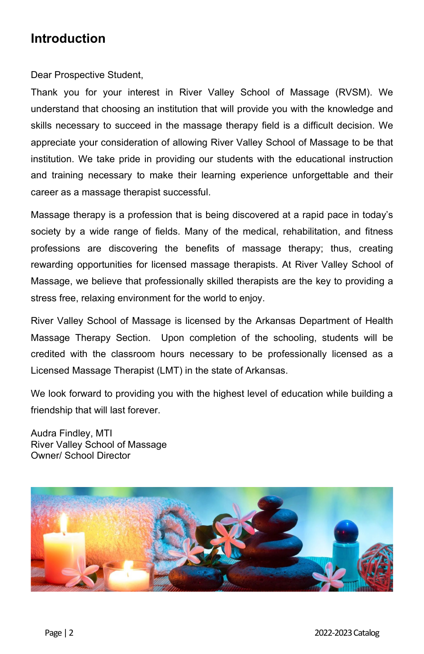### <span id="page-2-0"></span>**Introduction**

#### Dear Prospective Student,

Thank you for your interest in River Valley School of Massage (RVSM). We understand that choosing an institution that will provide you with the knowledge and skills necessary to succeed in the massage therapy field is a difficult decision. We appreciate your consideration of allowing River Valley School of Massage to be that institution. We take pride in providing our students with the educational instruction and training necessary to make their learning experience unforgettable and their career as a massage therapist successful.

Massage therapy is a profession that is being discovered at a rapid pace in today's society by a wide range of fields. Many of the medical, rehabilitation, and fitness professions are discovering the benefits of massage therapy; thus, creating rewarding opportunities for licensed massage therapists. At River Valley School of Massage, we believe that professionally skilled therapists are the key to providing a stress free, relaxing environment for the world to enjoy.

River Valley School of Massage is licensed by the Arkansas Department of Health Massage Therapy Section. Upon completion of the schooling, students will be credited with the classroom hours necessary to be professionally licensed as a Licensed Massage Therapist (LMT) in the state of Arkansas.

We look forward to providing you with the highest level of education while building a friendship that will last forever.

Audra Findley, MTI River Valley School of Massage Owner/ School Director

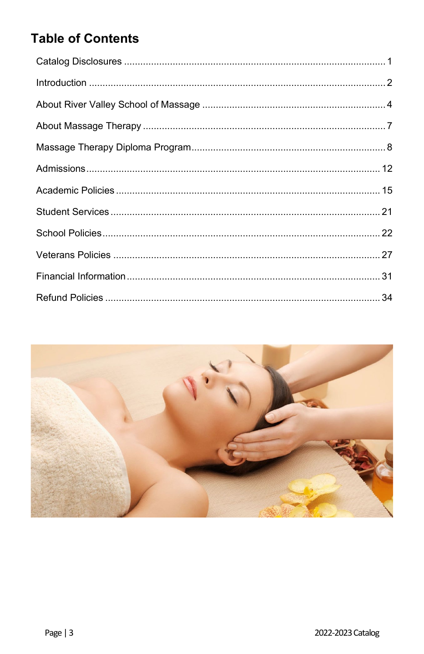### **Table of Contents**

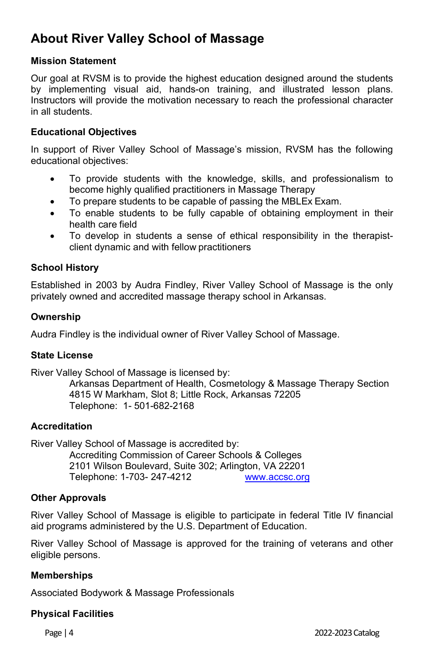### <span id="page-4-0"></span>**About River Valley School of Massage**

#### **Mission Statement**

Our goal at RVSM is to provide the highest education designed around the students by implementing visual aid, hands-on training, and illustrated lesson plans. Instructors will provide the motivation necessary to reach the professional character in all students.

#### **Educational Objectives**

In support of River Valley School of Massage's mission, RVSM has the following educational objectives:

- To provide students with the knowledge, skills, and professionalism to become highly qualified practitioners in Massage Therapy
- To prepare students to be capable of passing the MBLEx Exam.
- To enable students to be fully capable of obtaining employment in their health care field
- To develop in students a sense of ethical responsibility in the therapistclient dynamic and with fellow practitioners

#### **School History**

Established in 2003 by Audra Findley, River Valley School of Massage is the only privately owned and accredited massage therapy school in Arkansas.

#### **Ownership**

Audra Findley is the individual owner of River Valley School of Massage.

#### **State License**

River Valley School of Massage is licensed by:

Arkansas Department of Health, Cosmetology & Massage Therapy Section 4815 W Markham, Slot 8; Little Rock, Arkansas 72205 Telephone: 1- 501-682-2168

#### **Accreditation**

River Valley School of Massage is accredited by:

Accrediting Commission of Career Schools & Colleges 2101 Wilson Boulevard, Suite 302; Arlington, VA 22201 Telephone: 1-703- 247-4212 [www.accsc.org](http://www.accsc.org/)

#### **Other Approvals**

River Valley School of Massage is eligible to participate in federal Title IV financial aid programs administered by the U.S. Department of Education.

River Valley School of Massage is approved for the training of veterans and other eligible persons.

#### **Memberships**

Associated Bodywork & Massage Professionals

#### **Physical Facilities**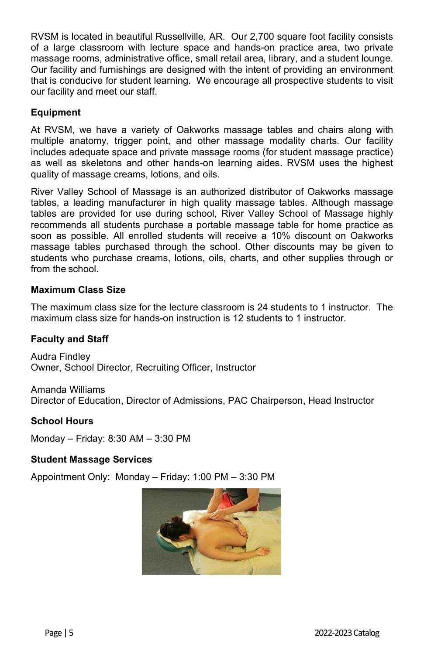RVSM is located in beautiful Russellville, AR. Our 2,700 square foot facility consists of a large classroom with lecture space and hands-on practice area, two private massage rooms, administrative office, small retail area, library, and a student lounge. Our facility and furnishings are designed with the intent of providing an environment that is conducive for student learning. We encourage all prospective students to visit our facility and meet our staff.

#### **Equipment**

At RVSM, we have a variety of Oakworks massage tables and chairs along with multiple anatomy, trigger point, and other massage modality charts. Our facility includes adequate space and private massage rooms (for student massage practice) as well as skeletons and other hands-on learning aides. RVSM uses the highest quality of massage creams, lotions, and oils.

River Valley School of Massage is an authorized distributor of Oakworks massage tables, a leading manufacturer in high quality massage tables. Although massage tables are provided for use during school, River Valley School of Massage highly recommends all students purchase a portable massage table for home practice as soon as possible. All enrolled students will receive a 10% discount on Oakworks massage tables purchased through the school. Other discounts may be given to students who purchase creams, lotions, oils, charts, and other supplies through or from the school.

#### **Maximum Class Size**

The maximum class size for the lecture classroom is 24 students to 1 instructor. The maximum class size for hands-on instruction is 12 students to 1 instructor.

#### **Faculty and Staff**

Audra Findley Owner, School Director, Recruiting Officer, Instructor

Amanda Williams Director of Education, Director of Admissions, PAC Chairperson, Head Instructor

#### **School Hours**

Monday – Friday: 8:30 AM – 3:30 PM

#### **Student Massage Services**

Appointment Only: Monday – Friday: 1:00 PM – 3:30 PM

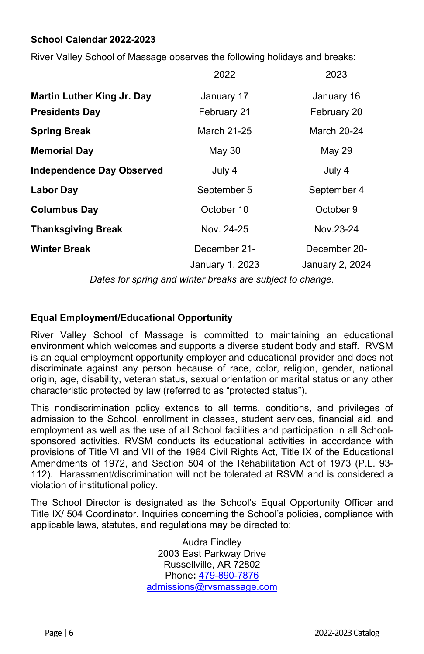#### **School Calendar 2022-2023**

River Valley School of Massage observes the following holidays and breaks:

|                                  | 2022            | 2023            |
|----------------------------------|-----------------|-----------------|
| Martin Luther King Jr. Day       | January 17      | January 16      |
| <b>Presidents Day</b>            | February 21     | February 20     |
| <b>Spring Break</b>              | March 21-25     | March 20-24     |
| <b>Memorial Day</b>              | May 30          | May 29          |
| <b>Independence Day Observed</b> | July 4          | July 4          |
| <b>Labor Day</b>                 | September 5     | September 4     |
| <b>Columbus Day</b>              | October 10      | October 9       |
| <b>Thanksgiving Break</b>        | Nov. 24-25      | Nov.23-24       |
| <b>Winter Break</b>              | December 21-    | December 20-    |
|                                  | January 1, 2023 | January 2, 2024 |

*Dates for spring and winter breaks are subject to change.*

#### **Equal Employment/Educational Opportunity**

River Valley School of Massage is committed to maintaining an educational environment which welcomes and supports a diverse student body and staff. RVSM is an equal employment opportunity employer and educational provider and does not discriminate against any person because of race, color, religion, gender, national origin, age, disability, veteran status, sexual orientation or marital status or any other characteristic protected by law (referred to as "protected status").

This nondiscrimination policy extends to all terms, conditions, and privileges of admission to the School, enrollment in classes, student services, financial aid, and employment as well as the use of all School facilities and participation in all Schoolsponsored activities. RVSM conducts its educational activities in accordance with provisions of Title VI and VII of the 1964 Civil Rights Act, Title IX of the Educational Amendments of 1972, and Section 504 of the Rehabilitation Act of 1973 (P.L. 93- 112). Harassment/discrimination will not be tolerated at RSVM and is considered a violation of institutional policy.

The School Director is designated as the School's Equal Opportunity Officer and Title IX/ 504 Coordinator. Inquiries concerning the School's policies, compliance with applicable laws, statutes, and regulations may be directed to:

> Audra Findley 2003 East Parkway Drive Russellville, AR 72802 Phone**:** [479-890-7876](tel:479-890-7876) [admissions@rvsmassage.com](mailto:admissions@rvsmassage.com)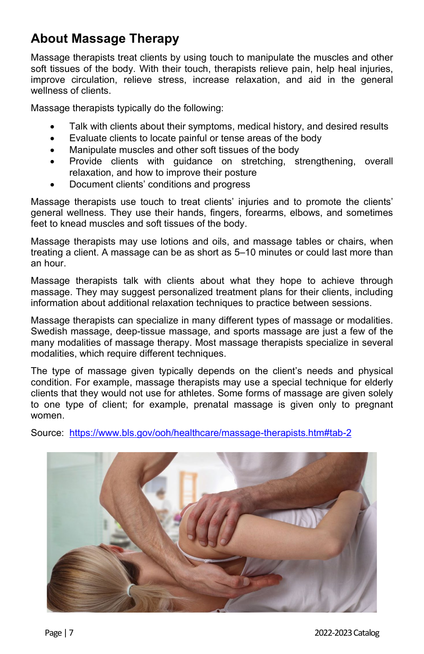### <span id="page-7-0"></span>**About Massage Therapy**

Massage therapists treat clients by using touch to manipulate the muscles and other soft tissues of the body. With their touch, therapists relieve pain, help heal injuries, improve circulation, relieve stress, increase relaxation, and aid in the general wellness of clients.

Massage therapists typically do the following:

- Talk with clients about their symptoms, medical history, and desired results
- Evaluate clients to locate painful or tense areas of the body
- Manipulate muscles and other soft tissues of the body
- Provide clients with guidance on stretching, strengthening, overall relaxation, and how to improve their posture
- Document clients' conditions and progress

Massage therapists use touch to treat clients' injuries and to promote the clients' general wellness. They use their hands, fingers, forearms, elbows, and sometimes feet to knead muscles and soft tissues of the body.

Massage therapists may use lotions and oils, and massage tables or chairs, when treating a client. A massage can be as short as 5–10 minutes or could last more than an hour.

Massage therapists talk with clients about what they hope to achieve through massage. They may suggest personalized treatment plans for their clients, including information about additional relaxation techniques to practice between sessions.

Massage therapists can specialize in many different types of massage or modalities. Swedish massage, deep-tissue massage, and sports massage are just a few of the many modalities of massage therapy. Most massage therapists specialize in several modalities, which require different techniques.

The type of massage given typically depends on the client's needs and physical condition. For example, massage therapists may use a special technique for elderly clients that they would not use for athletes. Some forms of massage are given solely to one type of client; for example, prenatal massage is given only to pregnant women.

Source: <https://www.bls.gov/ooh/healthcare/massage-therapists.htm#tab-2>

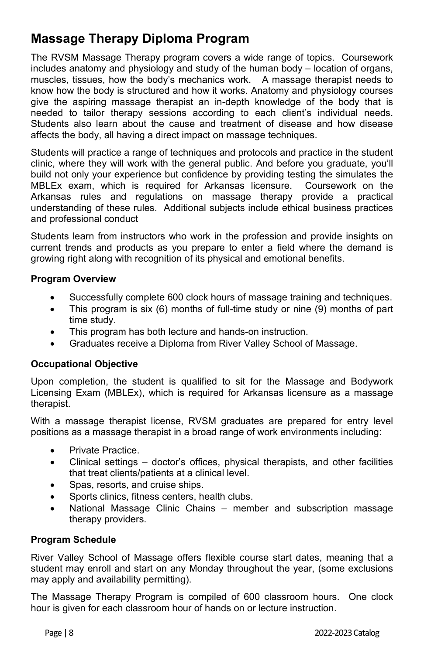### <span id="page-8-0"></span>**Massage Therapy Diploma Program**

The RVSM Massage Therapy program covers a wide range of topics. Coursework includes anatomy and physiology and study of the human body – location of organs, muscles, tissues, how the body's mechanics work. A massage therapist needs to know how the body is structured and how it works. Anatomy and physiology courses give the aspiring massage therapist an in-depth knowledge of the body that is needed to tailor therapy sessions according to each client's individual needs. Students also learn about the cause and treatment of disease and how disease affects the body, all having a direct impact on massage techniques.

Students will practice a range of techniques and protocols and practice in the student clinic, where they will work with the general public. And before you graduate, you'll build not only your experience but confidence by providing testing the simulates the MBLEx exam, which is required for Arkansas licensure. Coursework on the Arkansas rules and regulations on massage therapy provide a practical understanding of these rules. Additional subjects include ethical business practices and professional conduct

Students learn from instructors who work in the profession and provide insights on current trends and products as you prepare to enter a field where the demand is growing right along with recognition of its physical and emotional benefits.

#### **Program Overview**

- Successfully complete 600 clock hours of massage training and techniques.
- This program is six (6) months of full-time study or nine (9) months of part time study.
- This program has both lecture and hands-on instruction.
- Graduates receive a Diploma from River Valley School of Massage.

#### **Occupational Objective**

Upon completion, the student is qualified to sit for the Massage and Bodywork Licensing Exam (MBLEx), which is required for Arkansas licensure as a massage therapist.

With a massage therapist license, RVSM graduates are prepared for entry level positions as a massage therapist in a broad range of work environments including:

- Private Practice.
- Clinical settings doctor's offices, physical therapists, and other facilities that treat clients/patients at a clinical level.
- Spas, resorts, and cruise ships.
- Sports clinics, fitness centers, health clubs.
- National Massage Clinic Chains member and subscription massage therapy providers.

#### **Program Schedule**

River Valley School of Massage offers flexible course start dates, meaning that a student may enroll and start on any Monday throughout the year, (some exclusions may apply and availability permitting).

The Massage Therapy Program is compiled of 600 classroom hours. One clock hour is given for each classroom hour of hands on or lecture instruction.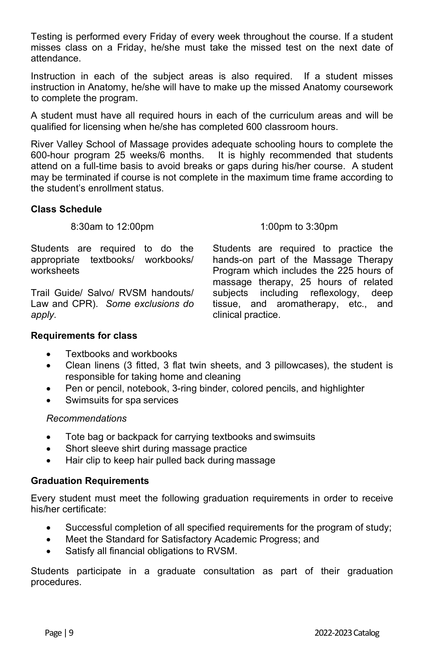Testing is performed every Friday of every week throughout the course. If a student misses class on a Friday, he/she must take the missed test on the next date of attendance.

Instruction in each of the subject areas is also required. If a student misses instruction in Anatomy, he/she will have to make up the missed Anatomy coursework to complete the program.

A student must have all required hours in each of the curriculum areas and will be qualified for licensing when he/she has completed 600 classroom hours.

River Valley School of Massage provides adequate schooling hours to complete the 600-hour program 25 weeks/6 months. It is highly recommended that students attend on a full-time basis to avoid breaks or gaps during his/her course. A student may be terminated if course is not complete in the maximum time frame according to the student's enrollment status.

#### **Class Schedule**

8:30am to 12:00pm

Students are required to do the appropriate textbooks/ workbooks/ worksheets

Trail Guide/ Salvo/ RVSM handouts/ Law and CPR). *Some exclusions do apply.*

#### 1:00pm to 3:30pm

Students are required to practice the hands-on part of the Massage Therapy Program which includes the 225 hours of massage therapy, 25 hours of related subjects including reflexology, deep tissue, and aromatherapy, etc., and clinical practice.

#### **Requirements for class**

- Textbooks and workbooks
- Clean linens (3 fitted, 3 flat twin sheets, and 3 pillowcases), the student is responsible for taking home and cleaning
- Pen or pencil, notebook, 3-ring binder, colored pencils, and highlighter
- Swimsuits for spa services

#### *Recommendations*

- Tote bag or backpack for carrying textbooks and swimsuits
- Short sleeve shirt during massage practice
- Hair clip to keep hair pulled back during massage

#### **Graduation Requirements**

Every student must meet the following graduation requirements in order to receive his/her certificate:

- Successful completion of all specified requirements for the program of study;
- Meet the Standard for Satisfactory Academic Progress; and
- Satisfy all financial obligations to RVSM.

Students participate in a graduate consultation as part of their graduation procedures.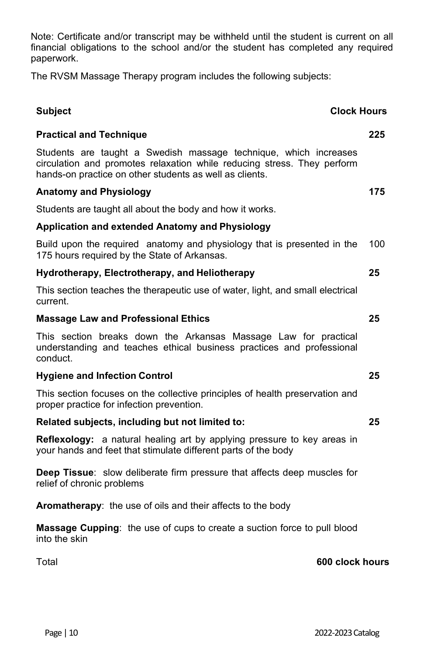Note: Certificate and/or transcript may be withheld until the student is current on all financial obligations to the school and/or the student has completed any required paperwork.

The RVSM Massage Therapy program includes the following subjects:

Students are taught a Swedish massage technique, which increases circulation and promotes relaxation while reducing stress. They perform

### **Anatomy and Physiology 175** Students are taught all about the body and how it works. **Application and extended Anatomy and Physiology** Build upon the required anatomy and physiology that is presented in the 100 175 hours required by the State of Arkansas. **Hydrotherapy, Electrotherapy, and Heliotherapy 25** This section teaches the therapeutic use of water, light, and small electrical current. **Massage Law and Professional Ethics 25** This section breaks down the Arkansas Massage Law for practical understanding and teaches ethical business practices and professional conduct. **Hygiene and Infection Control 25** This section focuses on the collective principles of health preservation and proper practice for infection prevention.

hands-on practice on other students as well as clients.

#### **Related subjects, including but not limited to: 25**

**Reflexology:** a natural healing art by applying pressure to key areas in your hands and feet that stimulate different parts of the body

**Deep Tissue**: slow deliberate firm pressure that affects deep muscles for relief of chronic problems

**Aromatherapy**: the use of oils and their affects to the body

**Massage Cupping**: the use of cups to create a suction force to pull blood into the skin

#### Total **600 clock hours**

**Subject Clock Hours**

**Practical and Technique 225**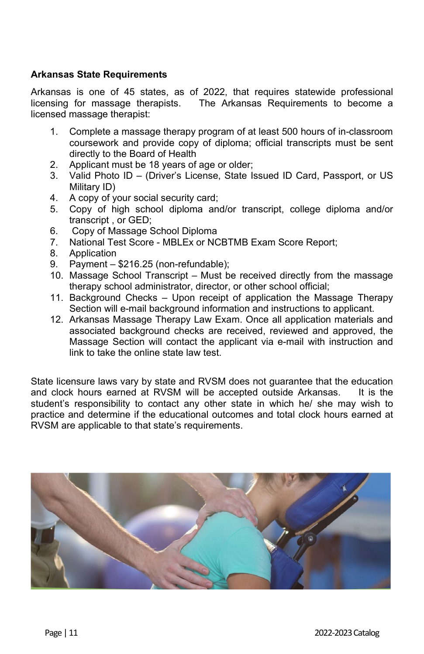#### **Arkansas State Requirements**

Arkansas is one of 45 states, as of 2022, that requires statewide professional licensing for massage therapists. The Arkansas Requirements to become a licensed massage therapist:

- 1. Complete a massage therapy program of at least 500 hours of in-classroom coursework and provide copy of diploma; official transcripts must be sent directly to the Board of Health
- 2. Applicant must be 18 years of age or older;
- 3. Valid Photo ID (Driver's License, State Issued ID Card, Passport, or US Military ID)
- 4. A copy of your social security card;<br>5. Copy of high school diploma and
- 5. Copy of high school diploma and/or transcript, college diploma and/or transcript , or GED;
- 6. Copy of Massage School Diploma
- 7. National Test Score MBLEx or NCBTMB Exam Score Report;
- 8. Application
- 9. Payment \$216.25 (non-refundable);
- 10. Massage School Transcript Must be received directly from the massage therapy school administrator, director, or other school official;
- 11. Background Checks Upon receipt of application the Massage Therapy Section will e-mail background information and instructions to applicant.
- 12. Arkansas Massage Therapy Law Exam. Once all application materials and associated background checks are received, reviewed and approved, the Massage Section will contact the applicant via e-mail with instruction and link to take the online state law test.

State licensure laws vary by state and RVSM does not guarantee that the education and clock hours earned at RVSM will be accepted outside Arkansas. It is the student's responsibility to contact any other state in which he/ she may wish to practice and determine if the educational outcomes and total clock hours earned at RVSM are applicable to that state's requirements.

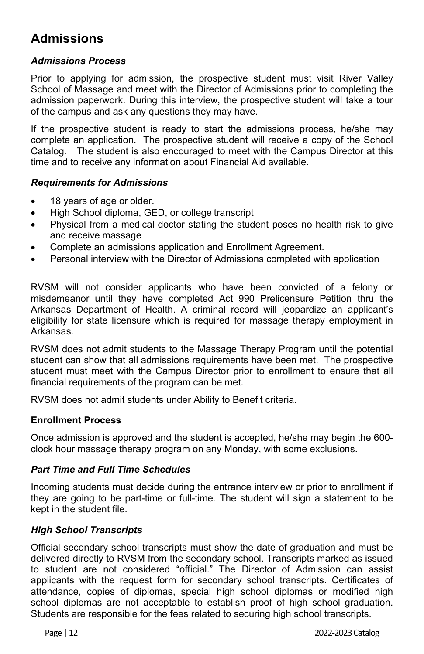### <span id="page-12-0"></span>**Admissions**

#### *Admissions Process*

Prior to applying for admission, the prospective student must visit River Valley School of Massage and meet with the Director of Admissions prior to completing the admission paperwork. During this interview, the prospective student will take a tour of the campus and ask any questions they may have.

If the prospective student is ready to start the admissions process, he/she may complete an application. The prospective student will receive a copy of the School Catalog. The student is also encouraged to meet with the Campus Director at this time and to receive any information about Financial Aid available.

#### *Requirements for Admissions*

- 18 years of age or older.
- High School diploma, GED, or college transcript
- Physical from a medical doctor stating the student poses no health risk to give and receive massage
- Complete an admissions application and Enrollment Agreement.
- Personal interview with the Director of Admissions completed with application

RVSM will not consider applicants who have been convicted of a felony or misdemeanor until they have completed Act 990 Prelicensure Petition thru the Arkansas Department of Health. A criminal record will jeopardize an applicant's eligibility for state licensure which is required for massage therapy employment in Arkansas.

RVSM does not admit students to the Massage Therapy Program until the potential student can show that all admissions requirements have been met. The prospective student must meet with the Campus Director prior to enrollment to ensure that all financial requirements of the program can be met.

RVSM does not admit students under Ability to Benefit criteria.

#### **Enrollment Process**

Once admission is approved and the student is accepted, he/she may begin the 600 clock hour massage therapy program on any Monday, with some exclusions.

#### *Part Time and Full Time Schedules*

Incoming students must decide during the entrance interview or prior to enrollment if they are going to be part-time or full-time. The student will sign a statement to be kept in the student file.

#### *High School Transcripts*

Official secondary school transcripts must show the date of graduation and must be delivered directly to RVSM from the secondary school. Transcripts marked as issued to student are not considered "official." The Director of Admission can assist applicants with the request form for secondary school transcripts. Certificates of attendance, copies of diplomas, special high school diplomas or modified high school diplomas are not acceptable to establish proof of high school graduation. Students are responsible for the fees related to securing high school transcripts.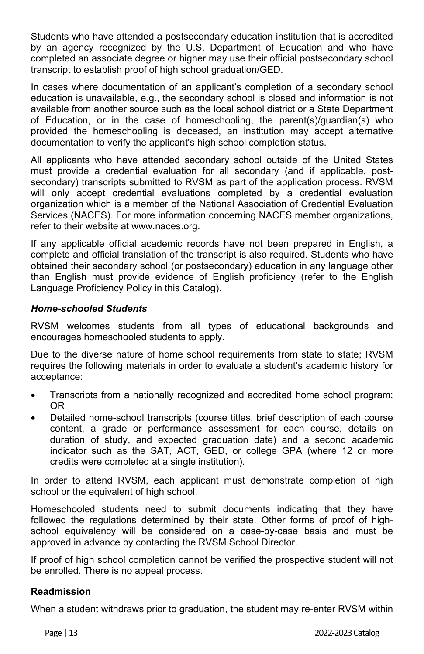Students who have attended a postsecondary education institution that is accredited by an agency recognized by the U.S. Department of Education and who have completed an associate degree or higher may use their official postsecondary school transcript to establish proof of high school graduation/GED.

In cases where documentation of an applicant's completion of a secondary school education is unavailable, e.g., the secondary school is closed and information is not available from another source such as the local school district or a State Department of Education, or in the case of homeschooling, the parent(s)/guardian(s) who provided the homeschooling is deceased, an institution may accept alternative documentation to verify the applicant's high school completion status.

All applicants who have attended secondary school outside of the United States must provide a credential evaluation for all secondary (and if applicable, postsecondary) transcripts submitted to RVSM as part of the application process. RVSM will only accept credential evaluations completed by a credential evaluation organization which is a member of the National Association of Credential Evaluation Services (NACES). For more information concerning NACES member organizations, refer to their website at www.naces.org.

If any applicable official academic records have not been prepared in English, a complete and official translation of the transcript is also required. Students who have obtained their secondary school (or postsecondary) education in any language other than English must provide evidence of English proficiency (refer to the English Language Proficiency Policy in this Catalog).

#### *Home-schooled Students*

RVSM welcomes students from all types of educational backgrounds and encourages homeschooled students to apply.

Due to the diverse nature of home school requirements from state to state; RVSM requires the following materials in order to evaluate a student's academic history for acceptance:

- Transcripts from a nationally recognized and accredited home school program; OR
- Detailed home-school transcripts (course titles, brief description of each course content, a grade or performance assessment for each course, details on duration of study, and expected graduation date) and a second academic indicator such as the SAT, ACT, GED, or college GPA (where 12 or more credits were completed at a single institution).

In order to attend RVSM, each applicant must demonstrate completion of high school or the equivalent of high school.

Homeschooled students need to submit documents indicating that they have followed the regulations determined by their state. Other forms of proof of highschool equivalency will be considered on a case-by-case basis and must be approved in advance by contacting the RVSM School Director.

If proof of high school completion cannot be verified the prospective student will not be enrolled. There is no appeal process.

#### **Readmission**

When a student withdraws prior to graduation, the student may re-enter RVSM within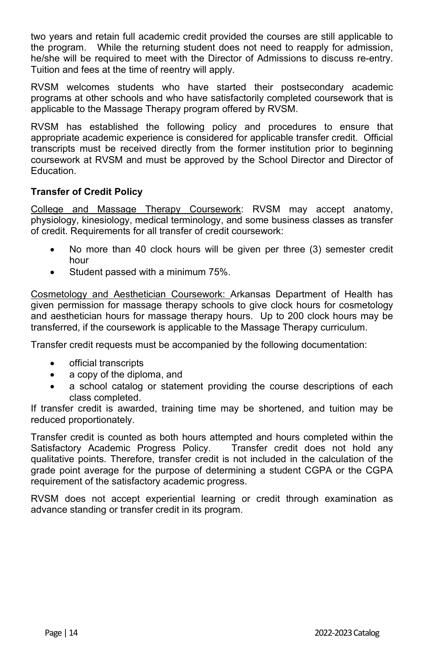two years and retain full academic credit provided the courses are still applicable to the program. While the returning student does not need to reapply for admission, he/she will be required to meet with the Director of Admissions to discuss re-entry. Tuition and fees at the time of reentry will apply.

RVSM welcomes students who have started their postsecondary academic programs at other schools and who have satisfactorily completed coursework that is applicable to the Massage Therapy program offered by RVSM.

RVSM has established the following policy and procedures to ensure that appropriate academic experience is considered for applicable transfer credit. Official transcripts must be received directly from the former institution prior to beginning coursework at RVSM and must be approved by the School Director and Director of Education.

#### **Transfer of Credit Policy**

College and Massage Therapy Coursework: RVSM may accept anatomy, physiology, kinesiology, medical terminology, and some business classes as transfer of credit. Requirements for all transfer of credit coursework:

- No more than 40 clock hours will be given per three (3) semester credit hour
- Student passed with a minimum 75%.

Cosmetology and Aesthetician Coursework: Arkansas Department of Health has given permission for massage therapy schools to give clock hours for cosmetology and aesthetician hours for massage therapy hours. Up to 200 clock hours may be transferred, if the coursework is applicable to the Massage Therapy curriculum.

Transfer credit requests must be accompanied by the following documentation:

- official transcripts
- a copy of the diploma, and
- a school catalog or statement providing the course descriptions of each class completed.

If transfer credit is awarded, training time may be shortened, and tuition may be reduced proportionately.

Transfer credit is counted as both hours attempted and hours completed within the<br>Satisfactory Academic Progress Policy. Transfer credit does not hold any Satisfactory Academic Progress Policy. qualitative points. Therefore, transfer credit is not included in the calculation of the grade point average for the purpose of determining a student CGPA or the CGPA requirement of the satisfactory academic progress.

<span id="page-14-0"></span>RVSM does not accept experiential learning or credit through examination as advance standing or transfer credit in its program.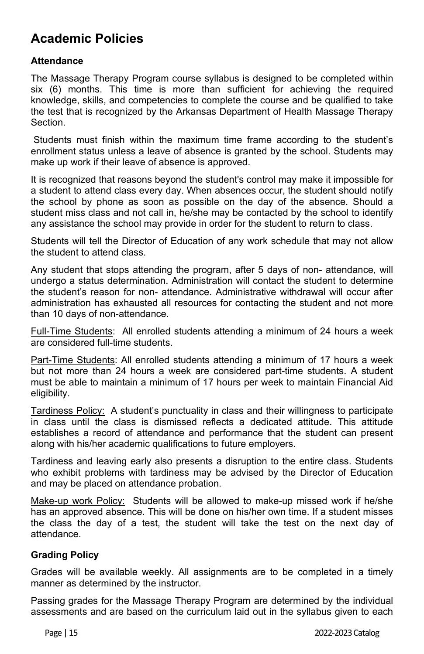### **Academic Policies**

#### **Attendance**

The Massage Therapy Program course syllabus is designed to be completed within six (6) months. This time is more than sufficient for achieving the required knowledge, skills, and competencies to complete the course and be qualified to take the test that is recognized by the Arkansas Department of Health Massage Therapy Section.

Students must finish within the maximum time frame according to the student's enrollment status unless a leave of absence is granted by the school. Students may make up work if their leave of absence is approved.

It is recognized that reasons beyond the student's control may make it impossible for a student to attend class every day. When absences occur, the student should notify the school by phone as soon as possible on the day of the absence. Should a student miss class and not call in, he/she may be contacted by the school to identify any assistance the school may provide in order for the student to return to class.

Students will tell the Director of Education of any work schedule that may not allow the student to attend class.

Any student that stops attending the program, after 5 days of non- attendance, will undergo a status determination. Administration will contact the student to determine the student's reason for non- attendance. Administrative withdrawal will occur after administration has exhausted all resources for contacting the student and not more than 10 days of non-attendance.

Full-Time Students: All enrolled students attending a minimum of 24 hours a week are considered full-time students.

Part-Time Students: All enrolled students attending a minimum of 17 hours a week but not more than 24 hours a week are considered part-time students. A student must be able to maintain a minimum of 17 hours per week to maintain Financial Aid eligibility.

Tardiness Policy: A student's punctuality in class and their willingness to participate in class until the class is dismissed reflects a dedicated attitude. This attitude establishes a record of attendance and performance that the student can present along with his/her academic qualifications to future employers.

Tardiness and leaving early also presents a disruption to the entire class. Students who exhibit problems with tardiness may be advised by the Director of Education and may be placed on attendance probation.

Make-up work Policy: Students will be allowed to make-up missed work if he/she has an approved absence. This will be done on his/her own time. If a student misses the class the day of a test, the student will take the test on the next day of attendance.

#### **Grading Policy**

Grades will be available weekly. All assignments are to be completed in a timely manner as determined by the instructor.

Passing grades for the Massage Therapy Program are determined by the individual assessments and are based on the curriculum laid out in the syllabus given to each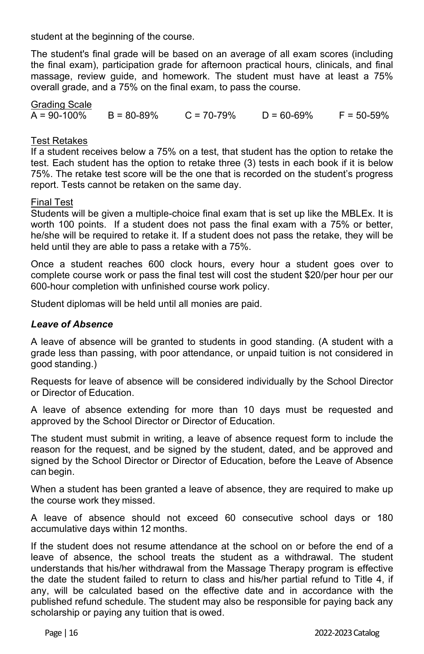student at the beginning of the course.

The student's final grade will be based on an average of all exam scores (including the final exam), participation grade for afternoon practical hours, clinicals, and final massage, review guide, and homework. The student must have at least a 75% overall grade, and a 75% on the final exam, to pass the course.

<u>Grading Scale</u><br>A = 90-100%  $B = 80-89\%$   $C = 70-79\%$   $D = 60-69\%$   $F = 50-59\%$ 

#### Test Retakes

If a student receives below a 75% on a test, that student has the option to retake the test. Each student has the option to retake three (3) tests in each book if it is below 75%. The retake test score will be the one that is recorded on the student's progress report. Tests cannot be retaken on the same day.

#### Final Test

Students will be given a multiple-choice final exam that is set up like the MBLEx. It is worth 100 points. If a student does not pass the final exam with a 75% or better, he/she will be required to retake it. If a student does not pass the retake, they will be held until they are able to pass a retake with a 75%.

Once a student reaches 600 clock hours, every hour a student goes over to complete course work or pass the final test will cost the student \$20/per hour per our 600-hour completion with unfinished course work policy.

Student diplomas will be held until all monies are paid.

#### *Leave of Absence*

A leave of absence will be granted to students in good standing. (A student with a grade less than passing, with poor attendance, or unpaid tuition is not considered in good standing.)

Requests for leave of absence will be considered individually by the School Director or Director of Education.

A leave of absence extending for more than 10 days must be requested and approved by the School Director or Director of Education.

The student must submit in writing, a leave of absence request form to include the reason for the request, and be signed by the student, dated, and be approved and signed by the School Director or Director of Education, before the Leave of Absence can begin.

When a student has been granted a leave of absence, they are required to make up the course work they missed.

A leave of absence should not exceed 60 consecutive school days or 180 accumulative days within 12 months.

If the student does not resume attendance at the school on or before the end of a leave of absence, the school treats the student as a withdrawal. The student understands that his/her withdrawal from the Massage Therapy program is effective the date the student failed to return to class and his/her partial refund to Title 4, if any, will be calculated based on the effective date and in accordance with the published refund schedule. The student may also be responsible for paying back any scholarship or paying any tuition that is owed.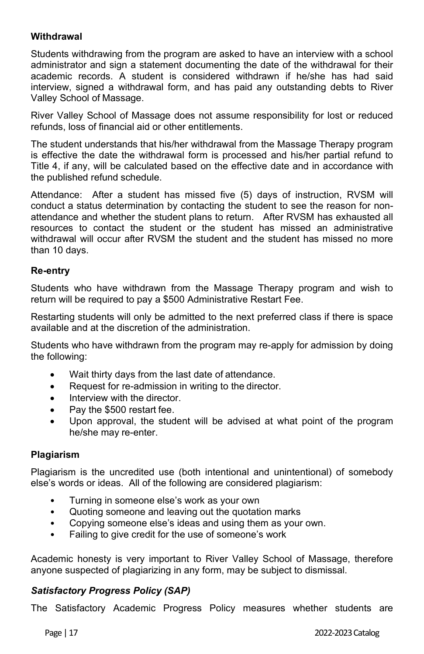#### **Withdrawal**

Students withdrawing from the program are asked to have an interview with a school administrator and sign a statement documenting the date of the withdrawal for their academic records. A student is considered withdrawn if he/she has had said interview, signed a withdrawal form, and has paid any outstanding debts to River Valley School of Massage.

River Valley School of Massage does not assume responsibility for lost or reduced refunds, loss of financial aid or other entitlements.

The student understands that his/her withdrawal from the Massage Therapy program is effective the date the withdrawal form is processed and his/her partial refund to Title 4, if any, will be calculated based on the effective date and in accordance with the published refund schedule.

Attendance: After a student has missed five (5) days of instruction, RVSM will conduct a status determination by contacting the student to see the reason for nonattendance and whether the student plans to return. After RVSM has exhausted all resources to contact the student or the student has missed an administrative withdrawal will occur after RVSM the student and the student has missed no more than 10 days.

#### **Re-entry**

Students who have withdrawn from the Massage Therapy program and wish to return will be required to pay a \$500 Administrative Restart Fee.

Restarting students will only be admitted to the next preferred class if there is space available and at the discretion of the administration.

Students who have withdrawn from the program may re-apply for admission by doing the following:

- Wait thirty days from the last date of attendance.
- Request for re-admission in writing to the director.
- Interview with the director.
- Pay the \$500 restart fee.
- Upon approval, the student will be advised at what point of the program he/she may re-enter.

#### **Plagiarism**

Plagiarism is the uncredited use (both intentional and unintentional) of somebody else's words or ideas. All of the following are considered plagiarism:

- Turning in someone else's work as your own
- Quoting someone and leaving out the quotation marks
- Copying someone else's ideas and using them as your own.
- Failing to give credit for the use of someone's work

Academic honesty is very important to River Valley School of Massage, therefore anyone suspected of plagiarizing in any form, may be subject to dismissal.

#### *Satisfactory Progress Policy (SAP)*

The Satisfactory Academic Progress Policy measures whether students are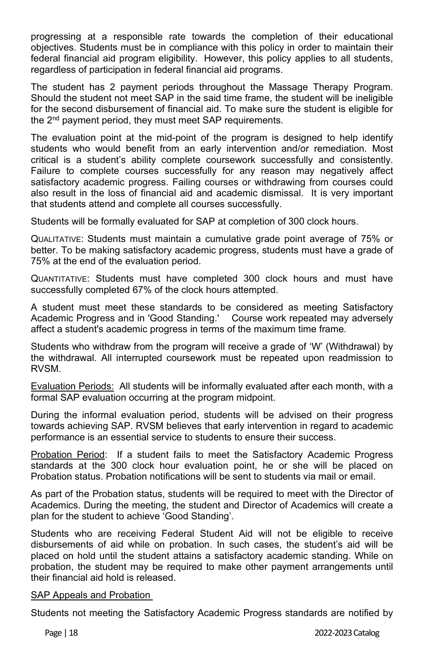progressing at a responsible rate towards the completion of their educational objectives. Students must be in compliance with this policy in order to maintain their federal financial aid program eligibility. However, this policy applies to all students, regardless of participation in federal financial aid programs.

The student has 2 payment periods throughout the Massage Therapy Program. Should the student not meet SAP in the said time frame, the student will be ineligible for the second disbursement of financial aid. To make sure the student is eligible for the 2<sup>nd</sup> payment period, they must meet SAP requirements.

The evaluation point at the mid-point of the program is designed to help identify students who would benefit from an early intervention and/or remediation. Most critical is a student's ability complete coursework successfully and consistently. Failure to complete courses successfully for any reason may negatively affect satisfactory academic progress. Failing courses or withdrawing from courses could also result in the loss of financial aid and academic dismissal. It is very important that students attend and complete all courses successfully.

Students will be formally evaluated for SAP at completion of 300 clock hours.

QUALITATIVE: Students must maintain a cumulative grade point average of 75% or better. To be making satisfactory academic progress, students must have a grade of 75% at the end of the evaluation period.

QUANTITATIVE: Students must have completed 300 clock hours and must have successfully completed 67% of the clock hours attempted.

A student must meet these standards to be considered as meeting Satisfactory Academic Progress and in 'Good Standing.' Course work repeated may adversely affect a student's academic progress in terms of the maximum time frame.

Students who withdraw from the program will receive a grade of 'W' (Withdrawal) by the withdrawal. All interrupted coursework must be repeated upon readmission to RVSM.

Evaluation Periods: All students will be informally evaluated after each month, with a formal SAP evaluation occurring at the program midpoint.

During the informal evaluation period, students will be advised on their progress towards achieving SAP. RVSM believes that early intervention in regard to academic performance is an essential service to students to ensure their success.

Probation Period: If a student fails to meet the Satisfactory Academic Progress standards at the 300 clock hour evaluation point, he or she will be placed on Probation status. Probation notifications will be sent to students via mail or email.

As part of the Probation status, students will be required to meet with the Director of Academics. During the meeting, the student and Director of Academics will create a plan for the student to achieve 'Good Standing'.

Students who are receiving Federal Student Aid will not be eligible to receive disbursements of aid while on probation. In such cases, the student's aid will be placed on hold until the student attains a satisfactory academic standing. While on probation, the student may be required to make other payment arrangements until their financial aid hold is released.

#### SAP Appeals and Probation

Students not meeting the Satisfactory Academic Progress standards are notified by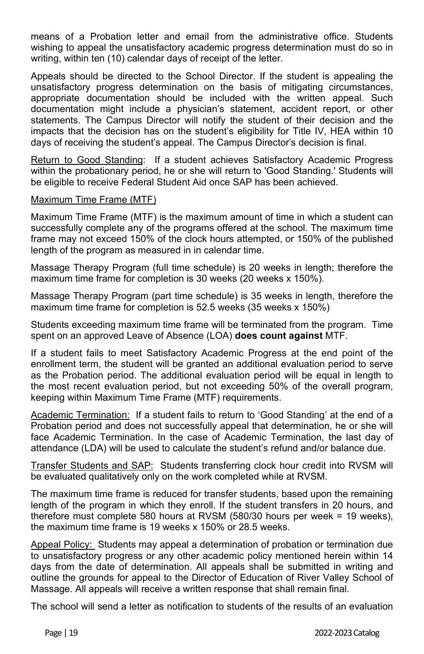means of a Probation letter and email from the administrative office. Students wishing to appeal the unsatisfactory academic progress determination must do so in writing, within ten (10) calendar days of receipt of the letter.

Appeals should be directed to the School Director. If the student is appealing the unsatisfactory progress determination on the basis of mitigating circumstances, appropriate documentation should be included with the written appeal. Such documentation might include a physician's statement, accident report, or other statements. The Campus Director will notify the student of their decision and the impacts that the decision has on the student's eligibility for Title IV, HEA within 10 days of receiving the student's appeal. The Campus Director's decision is final.

Return to Good Standing: If a student achieves Satisfactory Academic Progress within the probationary period, he or she will return to 'Good Standing.' Students will be eligible to receive Federal Student Aid once SAP has been achieved.

#### Maximum Time Frame (MTF)

Maximum Time Frame (MTF) is the maximum amount of time in which a student can successfully complete any of the programs offered at the school. The maximum time frame may not exceed 150% of the clock hours attempted, or 150% of the published length of the program as measured in in calendar time.

Massage Therapy Program (full time schedule) is 20 weeks in length; therefore the maximum time frame for completion is 30 weeks (20 weeks x 150%).

Massage Therapy Program (part time schedule) is 35 weeks in length, therefore the maximum time frame for completion is 52.5 weeks (35 weeks x 150%)

Students exceeding maximum time frame will be terminated from the program. Time spent on an approved Leave of Absence (LOA) **does count against** MTF.

If a student fails to meet Satisfactory Academic Progress at the end point of the enrollment term, the student will be granted an additional evaluation period to serve as the Probation period. The additional evaluation period will be equal in length to the most recent evaluation period, but not exceeding 50% of the overall program, keeping within Maximum Time Frame (MTF) requirements.

Academic Termination: If a student fails to return to 'Good Standing' at the end of a Probation period and does not successfully appeal that determination, he or she will face Academic Termination. In the case of Academic Termination, the last day of attendance (LDA) will be used to calculate the student's refund and/or balance due.

Transfer Students and SAP: Students transferring clock hour credit into RVSM will be evaluated qualitatively only on the work completed while at RVSM.

The maximum time frame is reduced for transfer students, based upon the remaining length of the program in which they enroll. If the student transfers in 20 hours, and therefore must complete 580 hours at RVSM (580/30 hours per week = 19 weeks), the maximum time frame is 19 weeks x 150% or 28.5 weeks.

Appeal Policy: Students may appeal a determination of probation or termination due to unsatisfactory progress or any other academic policy mentioned herein within 14 days from the date of determination. All appeals shall be submitted in writing and outline the grounds for appeal to the Director of Education of River Valley School of Massage. All appeals will receive a written response that shall remain final.

The school will send a letter as notification to students of the results of an evaluation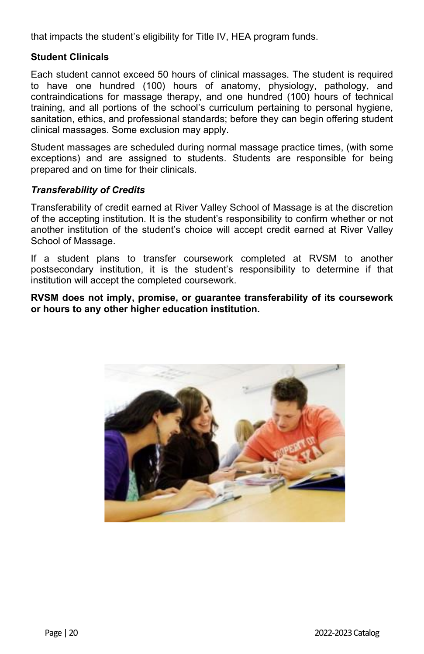that impacts the student's eligibility for Title IV, HEA program funds.

#### **Student Clinicals**

Each student cannot exceed 50 hours of clinical massages. The student is required to have one hundred (100) hours of anatomy, physiology, pathology, and contraindications for massage therapy, and one hundred (100) hours of technical training, and all portions of the school's curriculum pertaining to personal hygiene, sanitation, ethics, and professional standards; before they can begin offering student clinical massages. Some exclusion may apply.

Student massages are scheduled during normal massage practice times, (with some exceptions) and are assigned to students. Students are responsible for being prepared and on time for their clinicals.

#### *Transferability of Credits*

Transferability of credit earned at River Valley School of Massage is at the discretion of the accepting institution. It is the student's responsibility to confirm whether or not another institution of the student's choice will accept credit earned at River Valley School of Massage.

If a student plans to transfer coursework completed at RVSM to another postsecondary institution, it is the student's responsibility to determine if that institution will accept the completed coursework.

**RVSM does not imply, promise, or guarantee transferability of its coursework or hours to any other higher education institution.**

<span id="page-20-0"></span>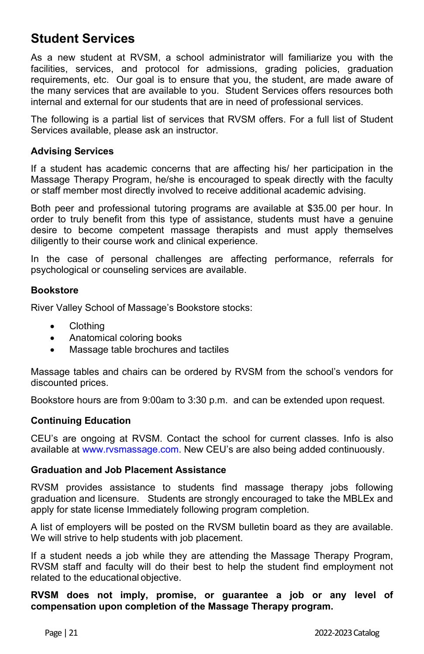### **Student Services**

As a new student at RVSM, a school administrator will familiarize you with the facilities, services, and protocol for admissions, grading policies, graduation requirements, etc. Our goal is to ensure that you, the student, are made aware of the many services that are available to you. Student Services offers resources both internal and external for our students that are in need of professional services.

The following is a partial list of services that RVSM offers. For a full list of Student Services available, please ask an instructor.

#### **Advising Services**

If a student has academic concerns that are affecting his/ her participation in the Massage Therapy Program, he/she is encouraged to speak directly with the faculty or staff member most directly involved to receive additional academic advising.

Both peer and professional tutoring programs are available at \$35.00 per hour. In order to truly benefit from this type of assistance, students must have a genuine desire to become competent massage therapists and must apply themselves diligently to their course work and clinical experience.

In the case of personal challenges are affecting performance, referrals for psychological or counseling services are available.

#### **Bookstore**

River Valley School of Massage's Bookstore stocks:

- Clothing
- Anatomical coloring books
- Massage table brochures and tactiles

Massage tables and chairs can be ordered by RVSM from the school's vendors for discounted prices.

Bookstore hours are from 9:00am to 3:30 p.m. and can be extended upon request.

#### **Continuing Education**

CEU's are ongoing at RVSM. Contact the school for current classes. Info is also available at www.rvsmassage.com. New CEU's are also being added continuously.

#### **Graduation and Job Placement Assistance**

RVSM provides assistance to students find massage therapy jobs following graduation and licensure. Students are strongly encouraged to take the MBLEx and apply for state license Immediately following program completion.

A list of employers will be posted on the RVSM bulletin board as they are available. We will strive to help students with job placement.

If a student needs a job while they are attending the Massage Therapy Program, RVSM staff and faculty will do their best to help the student find employment not related to the educational objective.

**RVSM does not imply, promise, or guarantee a job or any level of compensation upon completion of the Massage Therapy program.**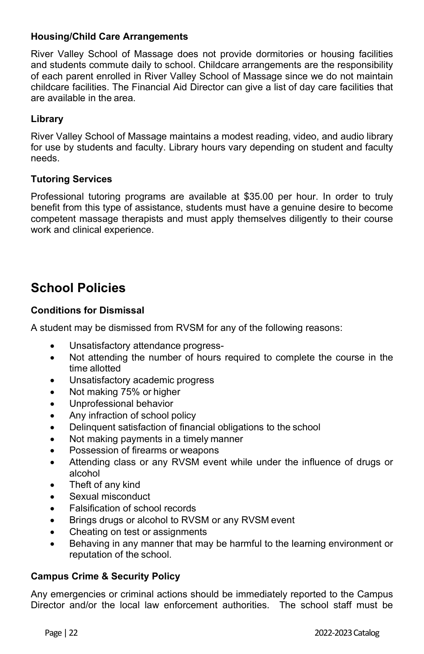#### **Housing/Child Care Arrangements**

River Valley School of Massage does not provide dormitories or housing facilities and students commute daily to school. Childcare arrangements are the responsibility of each parent enrolled in River Valley School of Massage since we do not maintain childcare facilities. The Financial Aid Director can give a list of day care facilities that are available in the area.

#### **Library**

River Valley School of Massage maintains a modest reading, video, and audio library for use by students and faculty. Library hours vary depending on student and faculty needs.

#### **Tutoring Services**

Professional tutoring programs are available at \$35.00 per hour. In order to truly benefit from this type of assistance, students must have a genuine desire to become competent massage therapists and must apply themselves diligently to their course work and clinical experience.

### <span id="page-22-0"></span>**School Policies**

#### **Conditions for Dismissal**

A student may be dismissed from RVSM for any of the following reasons:

- Unsatisfactory attendance progress-
- Not attending the number of hours required to complete the course in the time allotted
- Unsatisfactory academic progress
- Not making 75% or higher
- Unprofessional behavior
- Any infraction of school policy
- Delinquent satisfaction of financial obligations to the school
- Not making payments in a timely manner
- Possession of firearms or weapons
- Attending class or any RVSM event while under the influence of drugs or alcohol
- Theft of any kind
- Sexual misconduct
- Falsification of school records
- Brings drugs or alcohol to RVSM or any RVSM event
- Cheating on test or assignments
- Behaving in any manner that may be harmful to the learning environment or reputation of the school.

#### **Campus Crime & Security Policy**

Any emergencies or criminal actions should be immediately reported to the Campus Director and/or the local law enforcement authorities. The school staff must be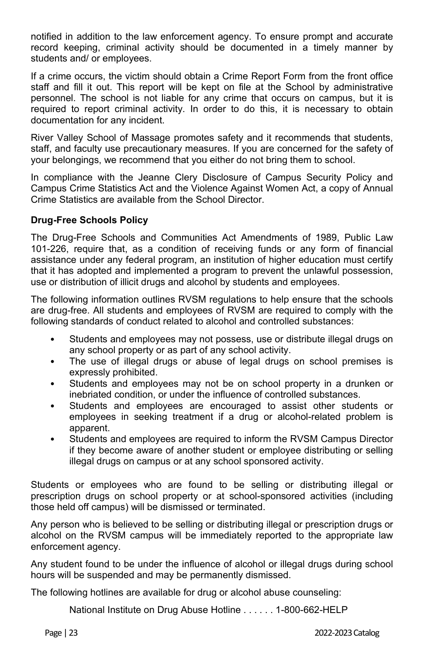notified in addition to the law enforcement agency. To ensure prompt and accurate record keeping, criminal activity should be documented in a timely manner by students and/ or employees.

If a crime occurs, the victim should obtain a Crime Report Form from the front office staff and fill it out. This report will be kept on file at the School by administrative personnel. The school is not liable for any crime that occurs on campus, but it is required to report criminal activity. In order to do this, it is necessary to obtain documentation for any incident.

River Valley School of Massage promotes safety and it recommends that students, staff, and faculty use precautionary measures. If you are concerned for the safety of your belongings, we recommend that you either do not bring them to school.

In compliance with the Jeanne Clery Disclosure of Campus Security Policy and Campus Crime Statistics Act and the Violence Against Women Act, a copy of Annual Crime Statistics are available from the School Director.

#### **Drug-Free Schools Policy**

The Drug-Free Schools and Communities Act Amendments of 1989, Public Law 101-226, require that, as a condition of receiving funds or any form of financial assistance under any federal program, an institution of higher education must certify that it has adopted and implemented a program to prevent the unlawful possession, use or distribution of illicit drugs and alcohol by students and employees.

The following information outlines RVSM regulations to help ensure that the schools are drug-free. All students and employees of RVSM are required to comply with the following standards of conduct related to alcohol and controlled substances:

- Students and employees may not possess, use or distribute illegal drugs on any school property or as part of any school activity.
- The use of illegal drugs or abuse of legal drugs on school premises is expressly prohibited.
- Students and employees may not be on school property in a drunken or inebriated condition, or under the influence of controlled substances.
- Students and employees are encouraged to assist other students or employees in seeking treatment if a drug or alcohol-related problem is apparent.
- Students and employees are required to inform the RVSM Campus Director if they become aware of another student or employee distributing or selling illegal drugs on campus or at any school sponsored activity.

Students or employees who are found to be selling or distributing illegal or prescription drugs on school property or at school-sponsored activities (including those held off campus) will be dismissed or terminated.

Any person who is believed to be selling or distributing illegal or prescription drugs or alcohol on the RVSM campus will be immediately reported to the appropriate law enforcement agency.

Any student found to be under the influence of alcohol or illegal drugs during school hours will be suspended and may be permanently dismissed.

The following hotlines are available for drug or alcohol abuse counseling:

National Institute on Drug Abuse Hotline . . . . . . 1-800-662-HELP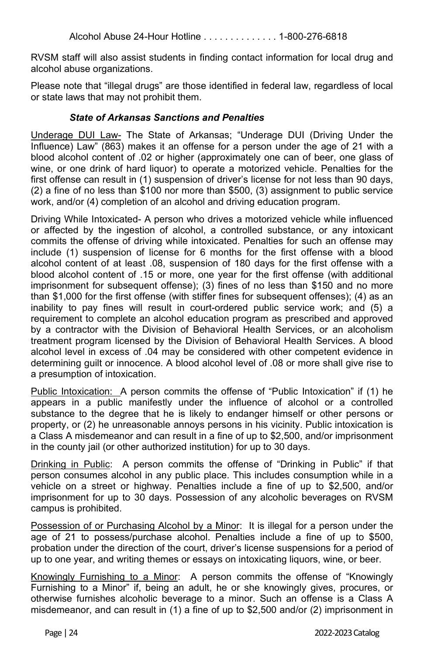RVSM staff will also assist students in finding contact information for local drug and alcohol abuse organizations.

Please note that "illegal drugs" are those identified in federal law, regardless of local or state laws that may not prohibit them.

#### *State of Arkansas Sanctions and Penalties*

Underage DUI Law- The State of Arkansas; "Underage DUI (Driving Under the Influence) Law" (863) makes it an offense for a person under the age of 21 with a blood alcohol content of .02 or higher (approximately one can of beer, one glass of wine, or one drink of hard liquor) to operate a motorized vehicle. Penalties for the first offense can result in (1) suspension of driver's license for not less than 90 days, (2) a fine of no less than \$100 nor more than \$500, (3) assignment to public service work, and/or (4) completion of an alcohol and driving education program.

Driving While Intoxicated- A person who drives a motorized vehicle while influenced or affected by the ingestion of alcohol, a controlled substance, or any intoxicant commits the offense of driving while intoxicated. Penalties for such an offense may include (1) suspension of license for 6 months for the first offense with a blood alcohol content of at least .08, suspension of 180 days for the first offense with a blood alcohol content of .15 or more, one year for the first offense (with additional imprisonment for subsequent offense); (3) fines of no less than \$150 and no more than \$1,000 for the first offense (with stiffer fines for subsequent offenses); (4) as an inability to pay fines will result in court-ordered public service work; and (5) a requirement to complete an alcohol education program as prescribed and approved by a contractor with the Division of Behavioral Health Services, or an alcoholism treatment program licensed by the Division of Behavioral Health Services. A blood alcohol level in excess of .04 may be considered with other competent evidence in determining guilt or innocence. A blood alcohol level of .08 or more shall give rise to a presumption of intoxication.

Public Intoxication: A person commits the offense of "Public Intoxication" if (1) he appears in a public manifestly under the influence of alcohol or a controlled substance to the degree that he is likely to endanger himself or other persons or property, or (2) he unreasonable annoys persons in his vicinity. Public intoxication is a Class A misdemeanor and can result in a fine of up to \$2,500, and/or imprisonment in the county jail (or other authorized institution) for up to 30 days.

Drinking in Public: A person commits the offense of "Drinking in Public" if that person consumes alcohol in any public place. This includes consumption while in a vehicle on a street or highway. Penalties include a fine of up to \$2,500, and/or imprisonment for up to 30 days. Possession of any alcoholic beverages on RVSM campus is prohibited.

Possession of or Purchasing Alcohol by a Minor: It is illegal for a person under the age of 21 to possess/purchase alcohol. Penalties include a fine of up to \$500, probation under the direction of the court, driver's license suspensions for a period of up to one year, and writing themes or essays on intoxicating liquors, wine, or beer.

Knowingly Furnishing to a Minor: A person commits the offense of "Knowingly Furnishing to a Minor" if, being an adult, he or she knowingly gives, procures, or otherwise furnishes alcoholic beverage to a minor. Such an offense is a Class A misdemeanor, and can result in (1) a fine of up to \$2,500 and/or (2) imprisonment in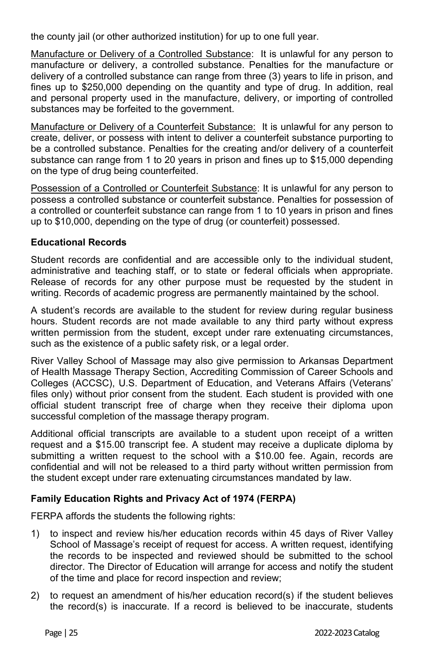the county jail (or other authorized institution) for up to one full year.

Manufacture or Delivery of a Controlled Substance: It is unlawful for any person to manufacture or delivery, a controlled substance. Penalties for the manufacture or delivery of a controlled substance can range from three (3) years to life in prison, and fines up to \$250,000 depending on the quantity and type of drug. In addition, real and personal property used in the manufacture, delivery, or importing of controlled substances may be forfeited to the government.

Manufacture or Delivery of a Counterfeit Substance: It is unlawful for any person to create, deliver, or possess with intent to deliver a counterfeit substance purporting to be a controlled substance. Penalties for the creating and/or delivery of a counterfeit substance can range from 1 to 20 years in prison and fines up to \$15,000 depending on the type of drug being counterfeited.

Possession of a Controlled or Counterfeit Substance: It is unlawful for any person to possess a controlled substance or counterfeit substance. Penalties for possession of a controlled or counterfeit substance can range from 1 to 10 years in prison and fines up to \$10,000, depending on the type of drug (or counterfeit) possessed.

#### **Educational Records**

Student records are confidential and are accessible only to the individual student, administrative and teaching staff, or to state or federal officials when appropriate. Release of records for any other purpose must be requested by the student in writing. Records of academic progress are permanently maintained by the school.

A student's records are available to the student for review during regular business hours. Student records are not made available to any third party without express written permission from the student, except under rare extenuating circumstances, such as the existence of a public safety risk, or a legal order.

River Valley School of Massage may also give permission to Arkansas Department of Health Massage Therapy Section, Accrediting Commission of Career Schools and Colleges (ACCSC), U.S. Department of Education, and Veterans Affairs (Veterans' files only) without prior consent from the student. Each student is provided with one official student transcript free of charge when they receive their diploma upon successful completion of the massage therapy program.

Additional official transcripts are available to a student upon receipt of a written request and a \$15.00 transcript fee. A student may receive a duplicate diploma by submitting a written request to the school with a \$10.00 fee. Again, records are confidential and will not be released to a third party without written permission from the student except under rare extenuating circumstances mandated by law.

#### **Family Education Rights and Privacy Act of 1974 (FERPA)**

FERPA affords the students the following rights:

- 1) to inspect and review his/her education records within 45 days of River Valley School of Massage's receipt of request for access. A written request, identifying the records to be inspected and reviewed should be submitted to the school director. The Director of Education will arrange for access and notify the student of the time and place for record inspection and review;
- 2) to request an amendment of his/her education record(s) if the student believes the record(s) is inaccurate. If a record is believed to be inaccurate, students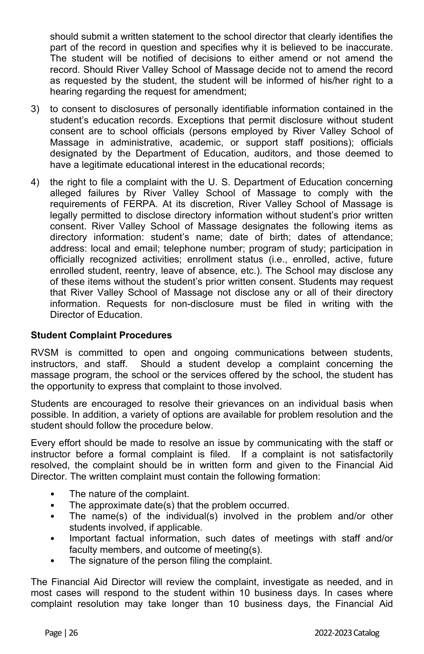should submit a written statement to the school director that clearly identifies the part of the record in question and specifies why it is believed to be inaccurate. The student will be notified of decisions to either amend or not amend the record. Should River Valley School of Massage decide not to amend the record as requested by the student, the student will be informed of his/her right to a hearing regarding the request for amendment;

- 3) to consent to disclosures of personally identifiable information contained in the student's education records. Exceptions that permit disclosure without student consent are to school officials (persons employed by River Valley School of Massage in administrative, academic, or support staff positions); officials designated by the Department of Education, auditors, and those deemed to have a legitimate educational interest in the educational records;
- 4) the right to file a complaint with the U. S. Department of Education concerning alleged failures by River Valley School of Massage to comply with the requirements of FERPA. At its discretion, River Valley School of Massage is legally permitted to disclose directory information without student's prior written consent. River Valley School of Massage designates the following items as directory information: student's name; date of birth; dates of attendance; address: local and email; telephone number; program of study; participation in officially recognized activities; enrollment status (i.e., enrolled, active, future enrolled student, reentry, leave of absence, etc.). The School may disclose any of these items without the student's prior written consent. Students may request that River Valley School of Massage not disclose any or all of their directory information. Requests for non-disclosure must be filed in writing with the Director of Education.

#### **Student Complaint Procedures**

RVSM is committed to open and ongoing communications between students, instructors, and staff. Should a student develop a complaint concerning the massage program, the school or the services offered by the school, the student has the opportunity to express that complaint to those involved.

Students are encouraged to resolve their grievances on an individual basis when possible. In addition, a variety of options are available for problem resolution and the student should follow the procedure below.

Every effort should be made to resolve an issue by communicating with the staff or instructor before a formal complaint is filed. If a complaint is not satisfactorily resolved, the complaint should be in written form and given to the Financial Aid Director. The written complaint must contain the following formation:

- The nature of the complaint.
- The approximate date(s) that the problem occurred.
- The name(s) of the individual(s) involved in the problem and/or other students involved, if applicable.
- Important factual information, such dates of meetings with staff and/or faculty members, and outcome of meeting(s).
- The signature of the person filing the complaint.

The Financial Aid Director will review the complaint, investigate as needed, and in most cases will respond to the student within 10 business days. In cases where complaint resolution may take longer than 10 business days, the Financial Aid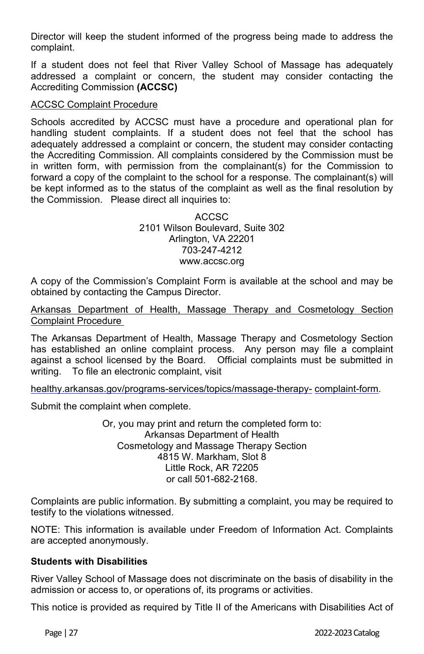Director will keep the student informed of the progress being made to address the complaint.

If a student does not feel that River Valley School of Massage has adequately addressed a complaint or concern, the student may consider contacting the Accrediting Commission **(ACCSC)**

#### ACCSC Complaint Procedure

Schools accredited by ACCSC must have a procedure and operational plan for handling student complaints. If a student does not feel that the school has adequately addressed a complaint or concern, the student may consider contacting the Accrediting Commission. All complaints considered by the Commission must be in written form, with permission from the complainant(s) for the Commission to forward a copy of the complaint to the school for a response. The complainant(s) will be kept informed as to the status of the complaint as well as the final resolution by the Commission. Please direct all inquiries to:

> ACCSC 2101 Wilson Boulevard, Suite 302 Arlington, VA 22201 703-247-4212 www.accsc.org

A copy of the Commission's Complaint Form is available at the school and may be obtained by contacting the Campus Director.

Arkansas Department of Health, Massage Therapy and Cosmetology Section Complaint Procedure

The Arkansas Department of Health, Massage Therapy and Cosmetology Section has established an online complaint process. Any person may file a complaint against a school licensed by the Board. Official complaints must be submitted in writing. To file an electronic complaint, visit

[healthy.arkansas.gov/programs-services/topics/massage-therapy-](https://www.healthy.arkansas.gov/programs-services/topics/massage-therapy-complaint-form) [complaint-form.](https://www.healthy.arkansas.gov/programs-services/topics/massage-therapy-complaint-form) 

Submit the complaint when complete.

Or, you may print and return the completed form to: Arkansas Department of Health Cosmetology and Massage Therapy Section 4815 W. Markham, Slot 8 Little Rock, AR 72205 or call 501-682-2168.

Complaints are public information. By submitting a complaint, you may be required to testify to the violations witnessed.

NOTE: This information is available under Freedom of Information Act. Complaints are accepted anonymously.

#### <span id="page-27-0"></span>**Students with Disabilities**

River Valley School of Massage does not discriminate on the basis of disability in the admission or access to, or operations of, its programs or activities.

This notice is provided as required by Title II of the Americans with Disabilities Act of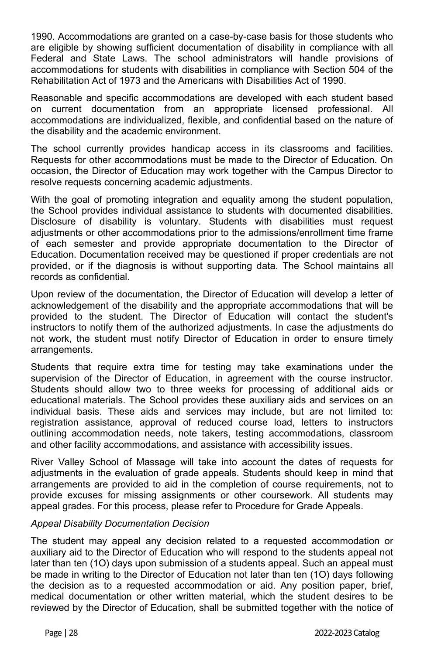1990. Accommodations are granted on a case-by-case basis for those students who are eligible by showing sufficient documentation of disability in compliance with all Federal and State Laws. The school administrators will handle provisions of accommodations for students with disabilities in compliance with Section 504 of the Rehabilitation Act of 1973 and the Americans with Disabilities Act of 1990.

Reasonable and specific accommodations are developed with each student based on current documentation from an appropriate licensed professional. All accommodations are individualized, flexible, and confidential based on the nature of the disability and the academic environment.

The school currently provides handicap access in its classrooms and facilities. Requests for other accommodations must be made to the Director of Education. On occasion, the Director of Education may work together with the Campus Director to resolve requests concerning academic adjustments.

With the goal of promoting integration and equality among the student population, the School provides individual assistance to students with documented disabilities. Disclosure of disability is voluntary. Students with disabilities must request adjustments or other accommodations prior to the admissions/enrollment time frame of each semester and provide appropriate documentation to the Director of Education. Documentation received may be questioned if proper credentials are not provided, or if the diagnosis is without supporting data. The School maintains all records as confidential.

Upon review of the documentation, the Director of Education will develop a letter of acknowledgement of the disability and the appropriate accommodations that will be provided to the student. The Director of Education will contact the student's instructors to notify them of the authorized adjustments. In case the adjustments do not work, the student must notify Director of Education in order to ensure timely arrangements.

Students that require extra time for testing may take examinations under the supervision of the Director of Education, in agreement with the course instructor. Students should allow two to three weeks for processing of additional aids or educational materials. The School provides these auxiliary aids and services on an individual basis. These aids and services may include, but are not limited to: registration assistance, approval of reduced course load, letters to instructors outlining accommodation needs, note takers, testing accommodations, classroom and other facility accommodations, and assistance with accessibility issues.

River Valley School of Massage will take into account the dates of requests for adjustments in the evaluation of grade appeals. Students should keep in mind that arrangements are provided to aid in the completion of course requirements, not to provide excuses for missing assignments or other coursework. All students may appeal grades. For this process, please refer to Procedure for Grade Appeals.

#### *Appeal Disability Documentation Decision*

The student may appeal any decision related to a requested accommodation or auxiliary aid to the Director of Education who will respond to the students appeal not later than ten (1O) days upon submission of a students appeal. Such an appeal must be made in writing to the Director of Education not later than ten (1O) days following the decision as to a requested accommodation or aid. Any position paper, brief, medical documentation or other written material, which the student desires to be reviewed by the Director of Education, shall be submitted together with the notice of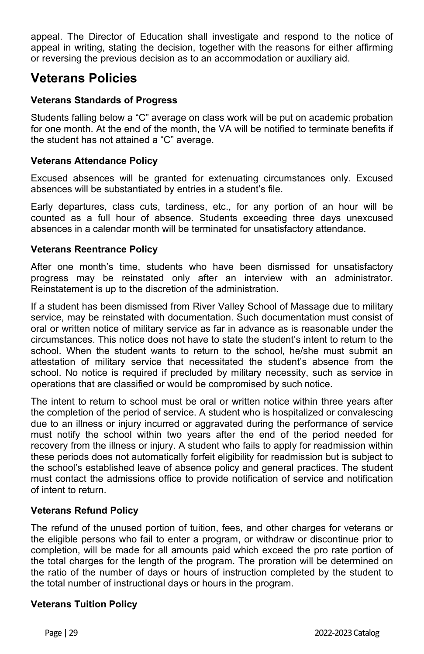appeal. The Director of Education shall investigate and respond to the notice of appeal in writing, stating the decision, together with the reasons for either affirming or reversing the previous decision as to an accommodation or auxiliary aid.

### **Veterans Policies**

#### **Veterans Standards of Progress**

Students falling below a "C" average on class work will be put on academic probation for one month. At the end of the month, the VA will be notified to terminate benefits if the student has not attained a "C" average.

#### **Veterans Attendance Policy**

Excused absences will be granted for extenuating circumstances only. Excused absences will be substantiated by entries in a student's file.

Early departures, class cuts, tardiness, etc., for any portion of an hour will be counted as a full hour of absence. Students exceeding three days unexcused absences in a calendar month will be terminated for unsatisfactory attendance.

#### **Veterans Reentrance Policy**

After one month's time, students who have been dismissed for unsatisfactory progress may be reinstated only after an interview with an administrator. Reinstatement is up to the discretion of the administration.

If a student has been dismissed from River Valley School of Massage due to military service, may be reinstated with documentation. Such documentation must consist of oral or written notice of military service as far in advance as is reasonable under the circumstances. This notice does not have to state the student's intent to return to the school. When the student wants to return to the school, he/she must submit an attestation of military service that necessitated the student's absence from the school. No notice is required if precluded by military necessity, such as service in operations that are classified or would be compromised by such notice.

The intent to return to school must be oral or written notice within three years after the completion of the period of service. A student who is hospitalized or convalescing due to an illness or injury incurred or aggravated during the performance of service must notify the school within two years after the end of the period needed for recovery from the illness or injury. A student who fails to apply for readmission within these periods does not automatically forfeit eligibility for readmission but is subject to the school's established leave of absence policy and general practices. The student must contact the admissions office to provide notification of service and notification of intent to return.

#### **Veterans Refund Policy**

The refund of the unused portion of tuition, fees, and other charges for veterans or the eligible persons who fail to enter a program, or withdraw or discontinue prior to completion, will be made for all amounts paid which exceed the pro rate portion of the total charges for the length of the program. The proration will be determined on the ratio of the number of days or hours of instruction completed by the student to the total number of instructional days or hours in the program.

#### **Veterans Tuition Policy**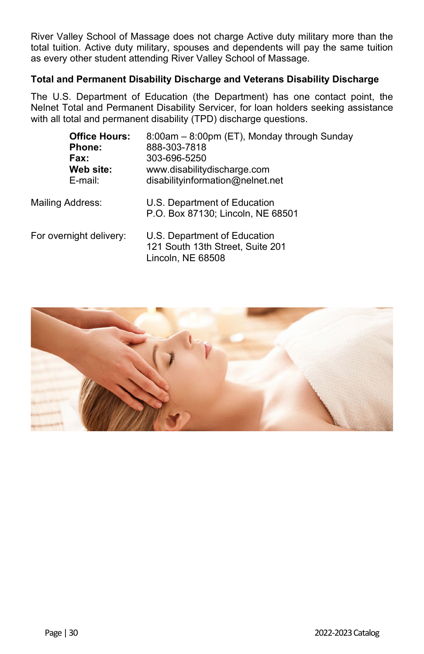River Valley School of Massage does not charge Active duty military more than the total tuition. Active duty military, spouses and dependents will pay the same tuition as every other student attending River Valley School of Massage.

#### **Total and Permanent Disability Discharge and Veterans Disability Discharge**

The U.S. Department of Education (the Department) has one contact point, the Nelnet Total and Permanent Disability Servicer, for loan holders seeking assistance with all total and permanent disability (TPD) discharge questions.

|                         | <b>Office Hours:</b><br><b>Phone:</b><br>Fax:<br>Web site:<br>F-mail: | 8:00am - 8:00pm (ET), Monday through Sunday<br>888-303-7818<br>303-696-5250<br>www.disabilitydischarge.com<br>disabilityinformation@nelnet.net |
|-------------------------|-----------------------------------------------------------------------|------------------------------------------------------------------------------------------------------------------------------------------------|
|                         | Mailing Address:                                                      | U.S. Department of Education<br>P.O. Box 87130; Lincoln, NE 68501                                                                              |
| For overnight delivery: |                                                                       | U.S. Department of Education<br>121 South 13th Street, Suite 201<br>Lincoln, NE 68508                                                          |

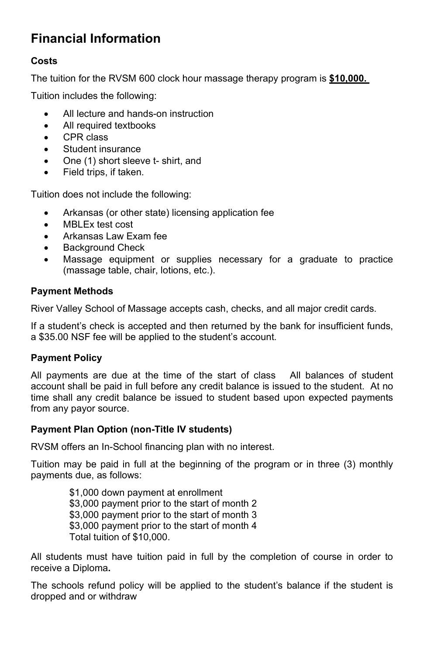### <span id="page-31-0"></span>**Financial Information**

#### **Costs**

The tuition for the RVSM 600 clock hour massage therapy program is **\$10,000.** 

Tuition includes the following:

- All lecture and hands-on instruction
- All required textbooks
- CPR class
- Student insurance
- One (1) short sleeve t- shirt, and
- Field trips, if taken.

Tuition does not include the following:

- Arkansas (or other state) licensing application fee
- MBI Fx test cost
- Arkansas Law Exam fee
- Background Check
- Massage equipment or supplies necessary for a graduate to practice (massage table, chair, lotions, etc.).

#### **Payment Methods**

River Valley School of Massage accepts cash, checks, and all major credit cards.

If a student's check is accepted and then returned by the bank for insufficient funds, a \$35.00 NSF fee will be applied to the student's account.

#### **Payment Policy**

All payments are due at the time of the start of class All balances of student account shall be paid in full before any credit balance is issued to the student. At no time shall any credit balance be issued to student based upon expected payments from any payor source.

#### **Payment Plan Option (non-Title IV students)**

RVSM offers an In-School financing plan with no interest.

Tuition may be paid in full at the beginning of the program or in three (3) monthly payments due, as follows:

> \$1,000 down payment at enrollment \$3,000 payment prior to the start of month 2 \$3,000 payment prior to the start of month 3 \$3,000 payment prior to the start of month 4 Total tuition of \$10,000.

All students must have tuition paid in full by the completion of course in order to receive a Diploma**.** 

The schools refund policy will be applied to the student's balance if the student is dropped and or withdraw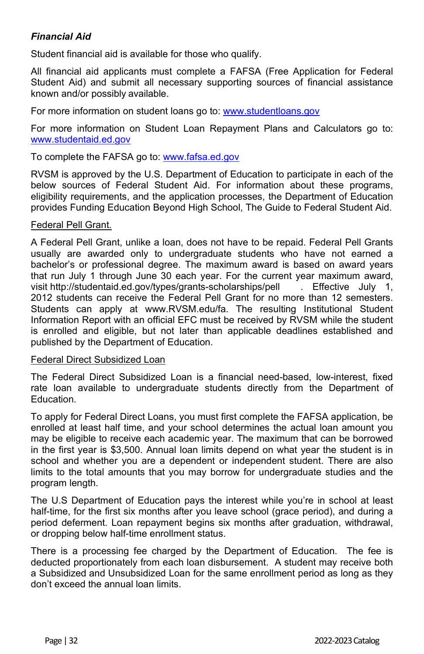#### *Financial Aid*

Student financial aid is available for those who qualify.

All financial aid applicants must complete a FAFSA (Free Application for Federal Student Aid) and submit all necessary supporting sources of financial assistance known and/or possibly available.

For more information on student loans go to[: www.studentloans.gov](http://www.studentloans.gov/)

For more information on Student Loan Repayment Plans and Calculators go to: [www.studentaid.ed.gov](http://www.studentaid.ed.gov/)

To complete the FAFSA go to: [www.fafsa.ed.gov](http://www.fafsa.ed.gov/)

RVSM is approved by the U.S. Department of Education to participate in each of the below sources of Federal Student Aid. For information about these programs, eligibility requirements, and the application processes, the Department of Education provides Funding Education Beyond High School, The Guide to Federal Student Aid.

#### Federal Pell Grant.

A Federal Pell Grant, unlike a loan, does not have to be repaid. Federal Pell Grants usually are awarded only to undergraduate students who have not earned a bachelor's or professional degree. The maximum award is based on award years that run July 1 through June 30 each year. For the current year maximum award, visit http://studentaid.ed.gov/types/grants-scholarships/pell . Effective July 1, 2012 students can receive the Federal Pell Grant for no more than 12 semesters. Students can apply at www.RVSM.edu/fa. The resulting Institutional Student Information Report with an official EFC must be received by RVSM while the student is enrolled and eligible, but not later than applicable deadlines established and published by the Department of Education.

#### Federal Direct Subsidized Loan

The Federal Direct Subsidized Loan is a financial need-based, low-interest, fixed rate loan available to undergraduate students directly from the Department of Education.

To apply for Federal Direct Loans, you must first complete the FAFSA application, be enrolled at least half time, and your school determines the actual loan amount you may be eligible to receive each academic year. The maximum that can be borrowed in the first year is \$3,500. Annual loan limits depend on what year the student is in school and whether you are a dependent or independent student. There are also limits to the total amounts that you may borrow for undergraduate studies and the program length.

The U.S Department of Education pays the interest while you're in school at least half-time, for the first six months after you leave school (grace period), and during a period deferment. Loan repayment begins six months after graduation, withdrawal, or dropping below half-time enrollment status.

There is a processing fee charged by the Department of Education. The fee is deducted proportionately from each loan disbursement. A student may receive both a Subsidized and Unsubsidized Loan for the same enrollment period as long as they don't exceed the annual loan limits.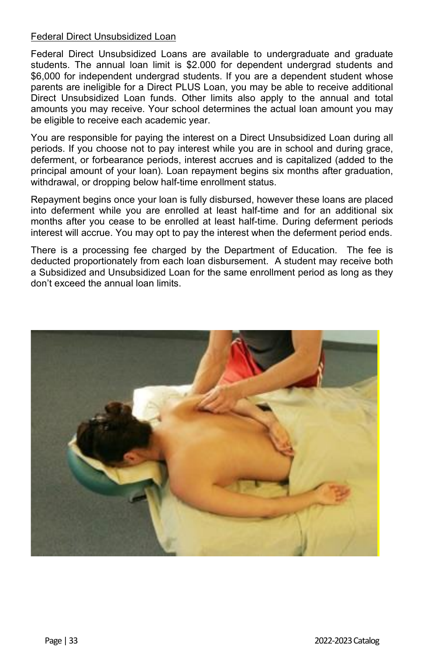#### Federal Direct Unsubsidized Loan

Federal Direct Unsubsidized Loans are available to undergraduate and graduate students. The annual loan limit is \$2.000 for dependent undergrad students and \$6,000 for independent undergrad students. If you are a dependent student whose parents are ineligible for a Direct PLUS Loan, you may be able to receive additional Direct Unsubsidized Loan funds. Other limits also apply to the annual and total amounts you may receive. Your school determines the actual loan amount you may be eligible to receive each academic year.

You are responsible for paying the interest on a Direct Unsubsidized Loan during all periods. If you choose not to pay interest while you are in school and during grace, deferment, or forbearance periods, interest accrues and is capitalized (added to the principal amount of your loan). Loan repayment begins six months after graduation, withdrawal, or dropping below half-time enrollment status.

Repayment begins once your loan is fully disbursed, however these loans are placed into deferment while you are enrolled at least half-time and for an additional six months after you cease to be enrolled at least half-time. During deferment periods interest will accrue. You may opt to pay the interest when the deferment period ends.

There is a processing fee charged by the Department of Education. The fee is deducted proportionately from each loan disbursement. A student may receive both a Subsidized and Unsubsidized Loan for the same enrollment period as long as they don't exceed the annual loan limits.

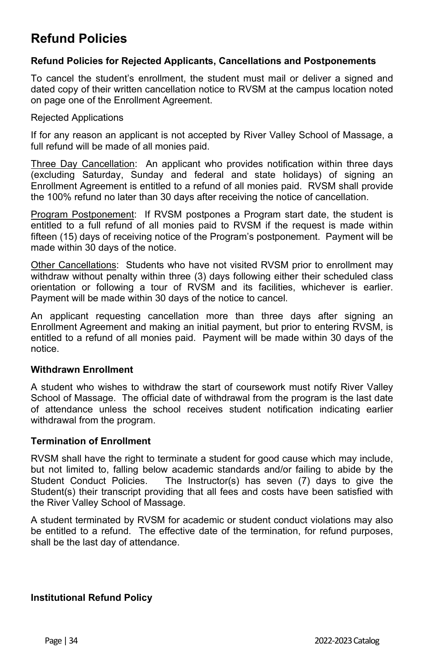### <span id="page-34-0"></span>**Refund Policies**

#### **Refund Policies for Rejected Applicants, Cancellations and Postponements**

To cancel the student's enrollment, the student must mail or deliver a signed and dated copy of their written cancellation notice to RVSM at the campus location noted on page one of the Enrollment Agreement.

#### Rejected Applications

If for any reason an applicant is not accepted by River Valley School of Massage, a full refund will be made of all monies paid.

Three Day Cancellation: An applicant who provides notification within three days (excluding Saturday, Sunday and federal and state holidays) of signing an Enrollment Agreement is entitled to a refund of all monies paid. RVSM shall provide the 100% refund no later than 30 days after receiving the notice of cancellation.

Program Postponement: If RVSM postpones a Program start date, the student is entitled to a full refund of all monies paid to RVSM if the request is made within fifteen (15) days of receiving notice of the Program's postponement. Payment will be made within 30 days of the notice.

Other Cancellations: Students who have not visited RVSM prior to enrollment may withdraw without penalty within three (3) days following either their scheduled class orientation or following a tour of RVSM and its facilities, whichever is earlier. Payment will be made within 30 days of the notice to cancel.

An applicant requesting cancellation more than three days after signing an Enrollment Agreement and making an initial payment, but prior to entering RVSM, is entitled to a refund of all monies paid. Payment will be made within 30 days of the notice.

#### **Withdrawn Enrollment**

A student who wishes to withdraw the start of coursework must notify River Valley School of Massage. The official date of withdrawal from the program is the last date of attendance unless the school receives student notification indicating earlier withdrawal from the program.

#### **Termination of Enrollment**

RVSM shall have the right to terminate a student for good cause which may include, but not limited to, falling below academic standards and/or failing to abide by the Student Conduct Policies. The Instructor(s) has seven (7) days to give the Student(s) their transcript providing that all fees and costs have been satisfied with the River Valley School of Massage.

A student terminated by RVSM for academic or student conduct violations may also be entitled to a refund. The effective date of the termination, for refund purposes, shall be the last day of attendance.

#### **Institutional Refund Policy**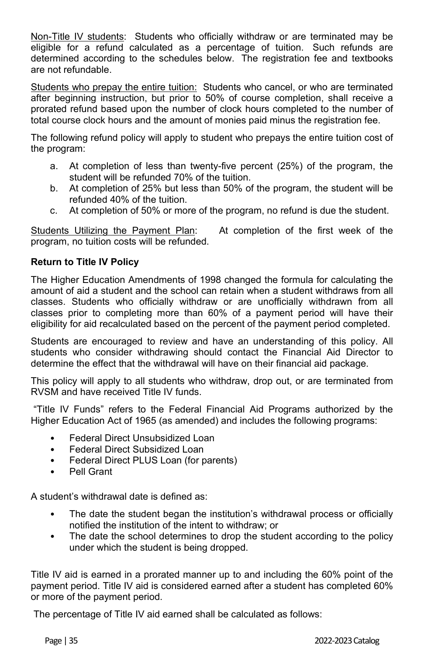Non-Title IV students: Students who officially withdraw or are terminated may be eligible for a refund calculated as a percentage of tuition. Such refunds are determined according to the schedules below. The registration fee and textbooks are not refundable.

Students who prepay the entire tuition: Students who cancel, or who are terminated after beginning instruction, but prior to 50% of course completion, shall receive a prorated refund based upon the number of clock hours completed to the number of total course clock hours and the amount of monies paid minus the registration fee.

The following refund policy will apply to student who prepays the entire tuition cost of the program:

- a. At completion of less than twenty-five percent (25%) of the program, the student will be refunded 70% of the tuition.
- b. At completion of 25% but less than 50% of the program, the student will be refunded 40% of the tuition.
- c. At completion of 50% or more of the program, no refund is due the student.

Students Utilizing the Payment Plan: At completion of the first week of the program, no tuition costs will be refunded.

#### **Return to Title IV Policy**

The Higher Education Amendments of 1998 changed the formula for calculating the amount of aid a student and the school can retain when a student withdraws from all classes. Students who officially withdraw or are unofficially withdrawn from all classes prior to completing more than 60% of a payment period will have their eligibility for aid recalculated based on the percent of the payment period completed.

Students are encouraged to review and have an understanding of this policy. All students who consider withdrawing should contact the Financial Aid Director to determine the effect that the withdrawal will have on their financial aid package.

This policy will apply to all students who withdraw, drop out, or are terminated from RVSM and have received Title IV funds.

"Title IV Funds" refers to the Federal Financial Aid Programs authorized by the Higher Education Act of 1965 (as amended) and includes the following programs:

- Federal Direct Unsubsidized Loan
- Federal Direct Subsidized Loan
- Federal Direct PLUS Loan (for parents)
- Pell Grant

A student's withdrawal date is defined as:

- The date the student began the institution's withdrawal process or officially notified the institution of the intent to withdraw; or
- The date the school determines to drop the student according to the policy under which the student is being dropped.

Title IV aid is earned in a prorated manner up to and including the 60% point of the payment period. Title IV aid is considered earned after a student has completed 60% or more of the payment period.

The percentage of Title IV aid earned shall be calculated as follows: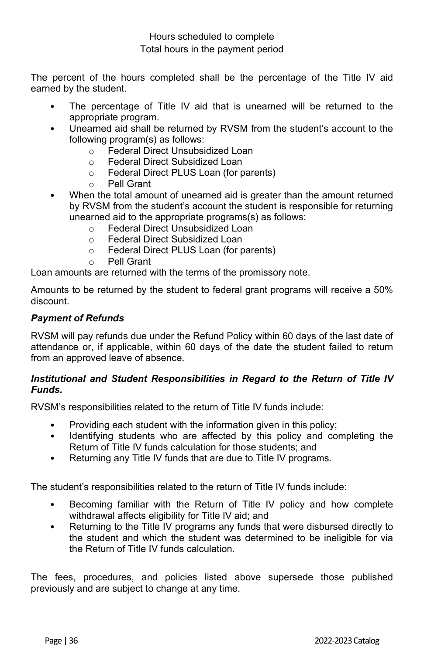Hours scheduled to complete Total hours in the payment period

The percent of the hours completed shall be the percentage of the Title IV aid earned by the student.

- The percentage of Title IV aid that is unearned will be returned to the appropriate program.
- Unearned aid shall be returned by RVSM from the student's account to the following program(s) as follows:
	- o Federal Direct Unsubsidized Loan
	- o Federal Direct Subsidized Loan<br>o Federal Direct PLUS Loan (for no
	- Federal Direct PLUS Loan (for parents)
	- o Pell Grant
- When the total amount of unearned aid is greater than the amount returned by RVSM from the student's account the student is responsible for returning unearned aid to the appropriate programs(s) as follows:
	- o Federal Direct Unsubsidized Loan
	- o Federal Direct Subsidized Loan
	- o Federal Direct PLUS Loan (for parents)
	- o Pell Grant

Loan amounts are returned with the terms of the promissory note.

Amounts to be returned by the student to federal grant programs will receive a 50% discount.

#### *Payment of Refunds*

RVSM will pay refunds due under the Refund Policy within 60 days of the last date of attendance or, if applicable, within 60 days of the date the student failed to return from an approved leave of absence.

#### *Institutional and Student Responsibilities in Regard to the Return of Title IV Funds.*

RVSM's responsibilities related to the return of Title IV funds include:

- Providing each student with the information given in this policy;
- Identifying students who are affected by this policy and completing the Return of Title IV funds calculation for those students; and
- Returning any Title IV funds that are due to Title IV programs.

The student's responsibilities related to the return of Title IV funds include:

- Becoming familiar with the Return of Title IV policy and how complete withdrawal affects eligibility for Title IV aid; and
- Returning to the Title IV programs any funds that were disbursed directly to the student and which the student was determined to be ineligible for via the Return of Title IV funds calculation.

The fees, procedures, and policies listed above supersede those published previously and are subject to change at any time.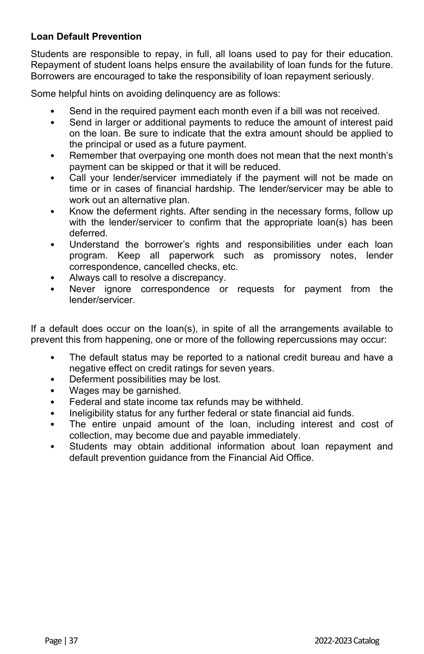#### **Loan Default Prevention**

Students are responsible to repay, in full, all loans used to pay for their education. Repayment of student loans helps ensure the availability of loan funds for the future. Borrowers are encouraged to take the responsibility of loan repayment seriously.

Some helpful hints on avoiding delinquency are as follows:

- Send in the required payment each month even if a bill was not received.
- Send in larger or additional payments to reduce the amount of interest paid on the loan. Be sure to indicate that the extra amount should be applied to the principal or used as a future payment.
- Remember that overpaying one month does not mean that the next month's payment can be skipped or that it will be reduced.
- Call your lender/servicer immediately if the payment will not be made on time or in cases of financial hardship. The lender/servicer may be able to work out an alternative plan.
- Know the deferment rights. After sending in the necessary forms, follow up with the lender/servicer to confirm that the appropriate loan(s) has been deferred.
- Understand the borrower's rights and responsibilities under each loan program. Keep all paperwork such as promissory notes, lender correspondence, cancelled checks, etc.
- Always call to resolve a discrepancy.
- Never ignore correspondence or requests for payment from the lender/servicer.

If a default does occur on the loan(s), in spite of all the arrangements available to prevent this from happening, one or more of the following repercussions may occur:

- The default status may be reported to a national credit bureau and have a negative effect on credit ratings for seven years.
- Deferment possibilities may be lost.
- Wages may be garnished.
- Federal and state income tax refunds may be withheld.
- Ineligibility status for any further federal or state financial aid funds.
- The entire unpaid amount of the loan, including interest and cost of collection, may become due and payable immediately.
- Students may obtain additional information about loan repayment and default prevention guidance from the Financial Aid Office.